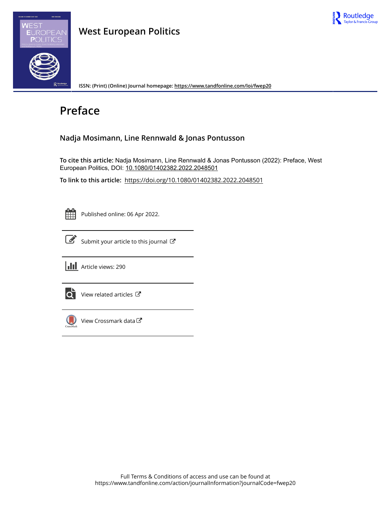

## **West European Politics**

**ISSN: (Print) (Online) Journal homepage:<https://www.tandfonline.com/loi/fwep20>**

# **Preface**

### **Nadja Mosimann, Line Rennwald & Jonas Pontusson**

**To cite this article:** Nadja Mosimann, Line Rennwald & Jonas Pontusson (2022): Preface, West European Politics, DOI: [10.1080/01402382.2022.2048501](https://www.tandfonline.com/action/showCitFormats?doi=10.1080/01402382.2022.2048501)

**To link to this article:** <https://doi.org/10.1080/01402382.2022.2048501>

| - |  |
|---|--|
|   |  |
|   |  |
|   |  |
|   |  |

Published online: 06 Apr 2022.



 $\overrightarrow{S}$  [Submit your article to this journal](https://www.tandfonline.com/action/authorSubmission?journalCode=fwep20&show=instructions)  $\overrightarrow{S}$ 





 $\overrightarrow{Q}$  [View related articles](https://www.tandfonline.com/doi/mlt/10.1080/01402382.2022.2048501)  $\overrightarrow{C}$ 



 $\bigcirc$  [View Crossmark data](http://crossmark.crossref.org/dialog/?doi=10.1080/01402382.2022.2048501&domain=pdf&date_stamp=2022-04-06)  $\mathbb{Z}$ 

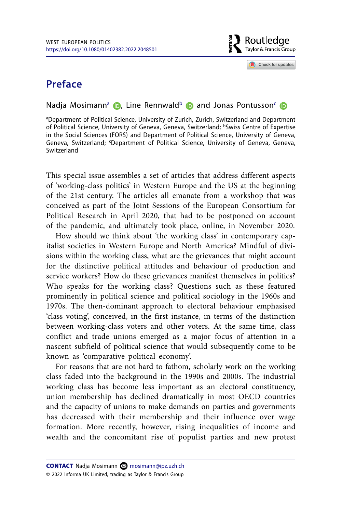

Check for updates

## **Preface**

#### N[a](#page-1-0)djaMosimann<sup>a</sup> **D**[,](http://orcid.org/0000-0002-9612-8580) Line Rennwald<sup>[b](#page-1-1)</sup> **D** and Jonas Pontusson<sup>c</sup> D

<span id="page-1-2"></span><span id="page-1-1"></span><span id="page-1-0"></span>a Department of Political Science, University of Zurich, Zurich, Switzerland and Department of Political Science, University of Geneva, Geneva, Switzerland; bSwiss Centre of Expertise in the Social Sciences (FORS) and Department of Political Science, University of Geneva, Geneva, Switzerland; <sup>c</sup>Department of Political Science, University of Geneva, Geneva, Switzerland

This special issue assembles a set of articles that address different aspects of 'working-class politics' in Western Europe and the US at the beginning of the 21st century. The articles all emanate from a workshop that was conceived as part of the Joint Sessions of the European Consortium for Political Research in April 2020, that had to be postponed on account of the pandemic, and ultimately took place, online, in November 2020.

How should we think about 'the working class' in contemporary capitalist societies in Western Europe and North America? Mindful of divisions within the working class, what are the grievances that might account for the distinctive political attitudes and behaviour of production and service workers? How do these grievances manifest themselves in politics? Who speaks for the working class? Questions such as these featured prominently in political science and political sociology in the 1960s and 1970s. The then-dominant approach to electoral behaviour emphasised 'class voting', conceived, in the first instance, in terms of the distinction between working-class voters and other voters. At the same time, class conflict and trade unions emerged as a major focus of attention in a nascent subfield of political science that would subsequently come to be known as 'comparative political economy'.

For reasons that are not hard to fathom, scholarly work on the working class faded into the background in the 1990s and 2000s. The industrial working class has become less important as an electoral constituency, union membership has declined dramatically in most OECD countries and the capacity of unions to make demands on parties and governments has decreased with their membership and their influence over wage formation. More recently, however, rising inequalities of income and wealth and the concomitant rise of populist parties and new protest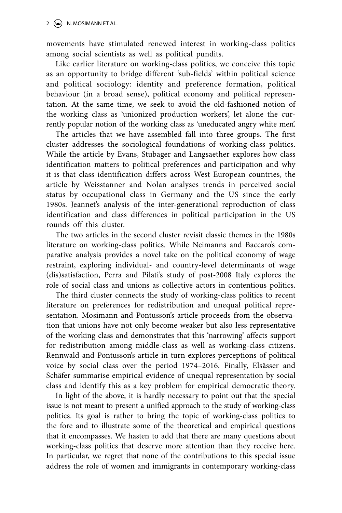movements have stimulated renewed interest in working-class politics among social scientists as well as political pundits.

Like earlier literature on working-class politics, we conceive this topic as an opportunity to bridge different 'sub-fields' within political science and political sociology: identity and preference formation, political behaviour (in a broad sense), political economy and political representation. At the same time, we seek to avoid the old-fashioned notion of the working class as 'unionized production workers', let alone the currently popular notion of the working class as 'uneducated angry white men'.

The articles that we have assembled fall into three groups. The first cluster addresses the sociological foundations of working-class politics. While the article by Evans, Stubager and Langsaether explores how class identification matters to political preferences and participation and why it is that class identification differs across West European countries, the article by Weisstanner and Nolan analyses trends in perceived social status by occupational class in Germany and the US since the early 1980s. Jeannet's analysis of the inter-generational reproduction of class identification and class differences in political participation in the US rounds off this cluster.

The two articles in the second cluster revisit classic themes in the 1980s literature on working-class politics. While Neimanns and Baccaro's comparative analysis provides a novel take on the political economy of wage restraint, exploring individual- and country-level determinants of wage (dis)satisfaction, Perra and Pilati's study of post-2008 Italy explores the role of social class and unions as collective actors in contentious politics.

The third cluster connects the study of working-class politics to recent literature on preferences for redistribution and unequal political representation. Mosimann and Pontusson's article proceeds from the observation that unions have not only become weaker but also less representative of the working class and demonstrates that this 'narrowing' affects support for redistribution among middle-class as well as working-class citizens. Rennwald and Pontusson's article in turn explores perceptions of political voice by social class over the period 1974–2016. Finally, Elsässer and Schäfer summarise empirical evidence of unequal representation by social class and identify this as a key problem for empirical democratic theory.

In light of the above, it is hardly necessary to point out that the special issue is not meant to present a unified approach to the study of working-class politics. Its goal is rather to bring the topic of working-class politics to the fore and to illustrate some of the theoretical and empirical questions that it encompasses. We hasten to add that there are many questions about working-class politics that deserve more attention than they receive here. In particular, we regret that none of the contributions to this special issue address the role of women and immigrants in contemporary working-class